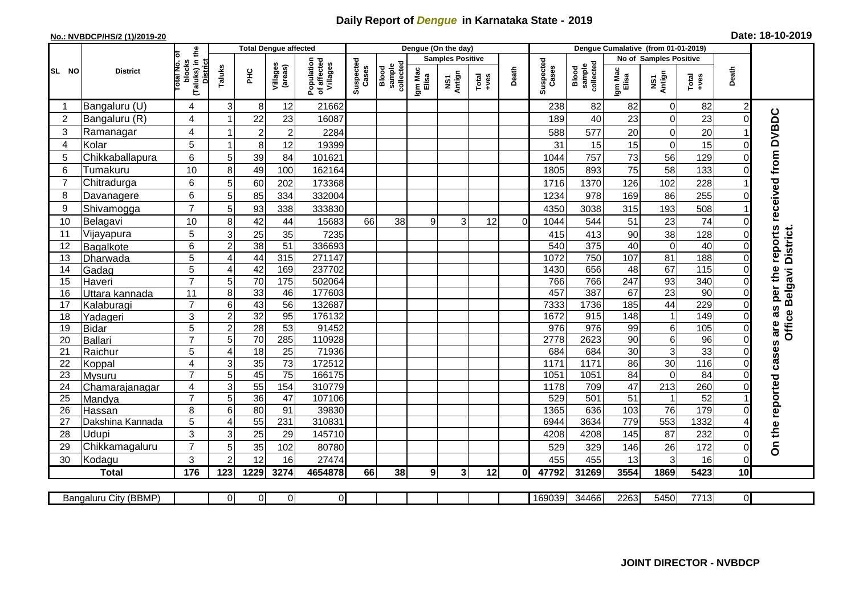## **Daily Report of** *Dengue* **in Karnataka State - 2019**

## **No.: NVBDCP/HS/2 (1)/2019-20 Date: 18-10-2019**

|                |                       |                                                             | <b>Total Dengue affected</b> |                 |                     |                                       |                    |                              |                  | Dengue (On the day)     |                                                                                                                                                                                                                                                                                                                                                                                                             |          |                    |                              |                  |                        |               |                 |                             |
|----------------|-----------------------|-------------------------------------------------------------|------------------------------|-----------------|---------------------|---------------------------------------|--------------------|------------------------------|------------------|-------------------------|-------------------------------------------------------------------------------------------------------------------------------------------------------------------------------------------------------------------------------------------------------------------------------------------------------------------------------------------------------------------------------------------------------------|----------|--------------------|------------------------------|------------------|------------------------|---------------|-----------------|-----------------------------|
|                |                       |                                                             |                              |                 |                     |                                       |                    |                              |                  | <b>Samples Positive</b> |                                                                                                                                                                                                                                                                                                                                                                                                             |          |                    |                              |                  | No of Samples Positive |               |                 |                             |
| SL NO          | <b>District</b>       | (Taluks) in the<br>otal No. of<br>blocks<br><b>District</b> | Taluks                       | ĔБ              | Villages<br>(areas) | Population<br>of affected<br>Villages | Suspected<br>Cases | sample<br>collected<br>Blood | Igm Mac<br>Elisa | NS1<br>Antign           | $\begin{array}{c}\n\text{Total} \\ \text{1-4} \\ \text{1-4} \\ \text{1-4} \\ \text{1-4} \\ \text{1-4} \\ \text{1-4} \\ \text{1-4} \\ \text{1-4} \\ \text{1-4} \\ \text{1-4} \\ \text{1-4} \\ \text{1-4} \\ \text{1-4} \\ \text{1-4} \\ \text{1-4} \\ \text{1-4} \\ \text{1-4} \\ \text{1-4} \\ \text{1-4} \\ \text{1-4} \\ \text{1-4} \\ \text{1-4} \\ \text{1-4} \\ \text{1-4} \\ \text{1-4} \\ \text{1-4$ | Death    | Suspected<br>Cases | collected<br>sample<br>Blood | Igm Mac<br>Elisa | NS1<br>Antign          | Total<br>+ves | Death           |                             |
| -1             | Bangaluru (U)         | 4                                                           | 3                            | 8 <sup>1</sup>  | 12                  | 21662                                 |                    |                              |                  |                         |                                                                                                                                                                                                                                                                                                                                                                                                             |          | 238                | 82                           | 82               | $\mathbf 0$            | 82            | $\overline{c}$  |                             |
| 2              | Bangaluru (R)         | 4                                                           |                              | 22              | 23                  | 16087                                 |                    |                              |                  |                         |                                                                                                                                                                                                                                                                                                                                                                                                             |          | 189                | 40                           | 23               | $\mathsf 0$            | 23            | $\Omega$        |                             |
| 3              | Ramanagar             | 4                                                           | -1                           | $\overline{c}$  | $\overline{c}$      | 2284                                  |                    |                              |                  |                         |                                                                                                                                                                                                                                                                                                                                                                                                             |          | 588                | 577                          | 20               | $\mathbf 0$            | 20            |                 | reports received from DVBDC |
| 4              | Kolar                 | 5                                                           | -1                           | 8 <sup>1</sup>  | 12                  | 19399                                 |                    |                              |                  |                         |                                                                                                                                                                                                                                                                                                                                                                                                             |          | 31                 | 15                           | 15               | $\mathbf 0$            | 15            | $\Omega$        |                             |
| 5              | Chikkaballapura       | 6                                                           | 5                            | 39              | 84                  | 101621                                |                    |                              |                  |                         |                                                                                                                                                                                                                                                                                                                                                                                                             |          | 1044               | 757                          | 73               | 56                     | 129           | $\Omega$        |                             |
| 6              | Tumakuru              | 10                                                          | 8                            | 49              | 100                 | 162164                                |                    |                              |                  |                         |                                                                                                                                                                                                                                                                                                                                                                                                             |          | 1805               | 893                          | 75               | 58                     | 133           | $\Omega$        |                             |
| $\overline{7}$ | Chitradurga           | 6                                                           | 5                            | 60              | 202                 | 173368                                |                    |                              |                  |                         |                                                                                                                                                                                                                                                                                                                                                                                                             |          | 1716               | 1370                         | 126              | 102                    | 228           |                 |                             |
| 8              | Davanagere            | 6                                                           | 5                            | 85              | 334                 | 332004                                |                    |                              |                  |                         |                                                                                                                                                                                                                                                                                                                                                                                                             |          | 1234               | 978                          | 169              | 86                     | 255           | $\Omega$        |                             |
| 9              | Shivamogga            | $\overline{7}$                                              | 5                            | 93              | 338                 | 333830                                |                    |                              |                  |                         |                                                                                                                                                                                                                                                                                                                                                                                                             |          | 4350               | 3038                         | 315              | 193                    | 508           |                 |                             |
| 10             | Belagavi              | 10                                                          | 8                            | 42              | 44                  | 15683                                 | 66                 | 38                           | 9                | 3 <sup>1</sup>          | 12                                                                                                                                                                                                                                                                                                                                                                                                          | $\Omega$ | 1044               | 544                          | 51               | 23                     | 74            |                 |                             |
| 11             | Vijayapura            | 5                                                           | 3                            | 25              | 35                  | 7235                                  |                    |                              |                  |                         |                                                                                                                                                                                                                                                                                                                                                                                                             |          | 415                | 413                          | 90               | 38                     | 128           |                 | Belgavi District.           |
| 12             | Bagalkote             | 6                                                           | $\overline{a}$               | 38              | 51                  | 336693                                |                    |                              |                  |                         |                                                                                                                                                                                                                                                                                                                                                                                                             |          | 540                | 375                          | 40               | $\overline{0}$         | 40            | $\Omega$        |                             |
| 13             | Dharwada              | 5                                                           | 4                            | 44              | 315                 | 271147                                |                    |                              |                  |                         |                                                                                                                                                                                                                                                                                                                                                                                                             |          | 1072               | 750                          | 107              | 81                     | 188           | $\Omega$        |                             |
| 14             | Gadag                 | $\overline{5}$                                              | 4                            | 42              | 169                 | 237702                                |                    |                              |                  |                         |                                                                                                                                                                                                                                                                                                                                                                                                             |          | 1430               | 656                          | 48               | 67                     | 115           | $\Omega$        |                             |
| 15             | Haveri                | $\overline{7}$                                              | 5 <sup>5</sup>               | 70              | 175                 | 502064                                |                    |                              |                  |                         |                                                                                                                                                                                                                                                                                                                                                                                                             |          | 766                | 766                          | 247              | 93                     | 340           | 0               |                             |
| 16             | Uttara kannada        | 11                                                          | 8                            | 33              | 46                  | 177603                                |                    |                              |                  |                         |                                                                                                                                                                                                                                                                                                                                                                                                             |          | 457                | 387                          | 67               | 23                     | 90            | 0               | are as per the              |
| 17             | Kalaburagi            | $\overline{7}$                                              | 6                            | 43              | $\overline{56}$     | 132687                                |                    |                              |                  |                         |                                                                                                                                                                                                                                                                                                                                                                                                             |          | 7333               | 1736                         | 185              | 44                     | 229           | $\Omega$        |                             |
| 18             | Yadageri              | 3                                                           | $\overline{c}$               | 32              | 95                  | 176132                                |                    |                              |                  |                         |                                                                                                                                                                                                                                                                                                                                                                                                             |          | 1672               | 915                          | 148              | $\mathbf{1}$           | 149           | 0               |                             |
| 19             | <b>Bidar</b>          | 5                                                           | $\overline{c}$               | 28              | 53                  | 91452                                 |                    |                              |                  |                         |                                                                                                                                                                                                                                                                                                                                                                                                             |          | 976                | 976                          | 99               | 6                      | 105           | 0               | <b>Office</b>               |
| 20             | <b>Ballari</b>        | $\overline{7}$                                              | 5                            | $\overline{70}$ | 285                 | 110928                                |                    |                              |                  |                         |                                                                                                                                                                                                                                                                                                                                                                                                             |          | 2778               | 2623                         | 90               | $\overline{6}$         | 96            | $\Omega$        |                             |
| 21             | Raichur               | 5                                                           | 4                            | 18              | $\overline{25}$     | 71936                                 |                    |                              |                  |                         |                                                                                                                                                                                                                                                                                                                                                                                                             |          | 684                | 684                          | 30               | $\overline{3}$         | 33            | $\Omega$        |                             |
| 22             | Koppal                | 4                                                           | 3                            | 35              | $\overline{73}$     | 172512                                |                    |                              |                  |                         |                                                                                                                                                                                                                                                                                                                                                                                                             |          | 1171               | 1171                         | 86               | $\overline{30}$        | 116           | $\Omega$        |                             |
| 23             | Mysuru                | $\overline{7}$                                              | 5                            | 45              | $\overline{75}$     | 166175                                |                    |                              |                  |                         |                                                                                                                                                                                                                                                                                                                                                                                                             |          | 1051               | 1051                         | $\overline{84}$  | $\mathbf 0$            | 84            | $\Omega$        |                             |
| 24             | Chamarajanagar        | 4                                                           | 3                            | 55              | 154                 | 310779                                |                    |                              |                  |                         |                                                                                                                                                                                                                                                                                                                                                                                                             |          | 1178               | 709                          | 47               | 213                    | 260           | 0               |                             |
| 25             | Mandya                | $\overline{7}$                                              | 5                            | 36              | 47                  | 107106                                |                    |                              |                  |                         |                                                                                                                                                                                                                                                                                                                                                                                                             |          | 529                | 501                          | $\overline{51}$  | $\mathbf{1}$           | 52            |                 |                             |
| 26             | Hassan                | 8                                                           | 6                            | 80              | 91                  | 39830                                 |                    |                              |                  |                         |                                                                                                                                                                                                                                                                                                                                                                                                             |          | 1365               | 636                          | 103              | $\overline{76}$        | 179           |                 |                             |
| 27             | Dakshina Kannada      | 5                                                           | 4                            | 55              | 231                 | 310831                                |                    |                              |                  |                         |                                                                                                                                                                                                                                                                                                                                                                                                             |          | 6944               | 3634                         | $\overline{779}$ | 553                    | 1332          |                 |                             |
| 28             | Udupi                 | 3<br>$\overline{7}$                                         | 3                            | 25              | 29                  | 145710                                |                    |                              |                  |                         |                                                                                                                                                                                                                                                                                                                                                                                                             |          | 4208               | 4208                         | 145              | 87                     | 232           | $\Omega$        | On the reported cases       |
| 29             | Chikkamagaluru        |                                                             | 5                            | 35              | 102                 | 80780                                 |                    |                              |                  |                         |                                                                                                                                                                                                                                                                                                                                                                                                             |          | 529                | 329                          | 146              | 26                     | 172           | 0               |                             |
| 30             | Kodagu                | 3                                                           | $\overline{2}$               | 12              | 16                  | 27474                                 |                    |                              |                  |                         |                                                                                                                                                                                                                                                                                                                                                                                                             |          | 455                | 455                          | 13               | 3                      | 16            | $\overline{0}$  |                             |
|                | <b>Total</b>          | 176                                                         | 123                          | 1229            | 3274                | 4654878                               | 66                 | 38                           | 9 <sub>l</sub>   | 3 <sup>1</sup>          | 12                                                                                                                                                                                                                                                                                                                                                                                                          | 01       | 47792              | 31269                        | 3554             | 1869                   | 5423          | 10 <sup>1</sup> |                             |
|                |                       |                                                             |                              |                 |                     |                                       |                    |                              |                  |                         |                                                                                                                                                                                                                                                                                                                                                                                                             |          |                    |                              |                  |                        |               |                 |                             |
|                | Bangaluru City (BBMP) |                                                             | ΟI                           | $\overline{0}$  | $\overline{0}$      | $\overline{0}$                        |                    |                              |                  |                         |                                                                                                                                                                                                                                                                                                                                                                                                             |          | 169039             | 34466                        | 2263             | 5450                   | 7713          | ΟI              |                             |